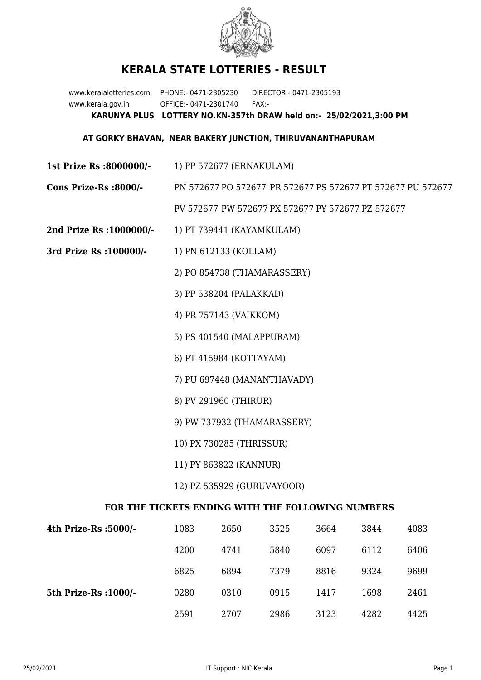

## **KERALA STATE LOTTERIES - RESULT**

www.keralalotteries.com PHONE:- 0471-2305230 DIRECTOR:- 0471-2305193 www.kerala.gov.in OFFICE:- 0471-2301740 FAX:- **KARUNYA PLUS LOTTERY NO.KN-357th DRAW held on:- 25/02/2021,3:00 PM**

## **AT GORKY BHAVAN, NEAR BAKERY JUNCTION, THIRUVANANTHAPURAM**

- **1st Prize Rs :8000000/-** 1) PP 572677 (ERNAKULAM)
- **Cons Prize-Rs :8000/-** PN 572677 PO 572677 PR 572677 PS 572677 PT 572677 PU 572677 PV 572677 PW 572677 PX 572677 PY 572677 PZ 572677
- **2nd Prize Rs :1000000/-** 1) PT 739441 (KAYAMKULAM)
- **3rd Prize Rs :100000/-** 1) PN 612133 (KOLLAM)
	- 2) PO 854738 (THAMARASSERY)
	- 3) PP 538204 (PALAKKAD)
	- 4) PR 757143 (VAIKKOM)
	- 5) PS 401540 (MALAPPURAM)
	- 6) PT 415984 (KOTTAYAM)
	- 7) PU 697448 (MANANTHAVADY)
	- 8) PV 291960 (THIRUR)
	- 9) PW 737932 (THAMARASSERY)
	- 10) PX 730285 (THRISSUR)
	- 11) PY 863822 (KANNUR)
	- 12) PZ 535929 (GURUVAYOOR)

## **FOR THE TICKETS ENDING WITH THE FOLLOWING NUMBERS**

| 4th Prize-Rs :5000/-  | 1083 | 2650 | 3525 | 3664 | 3844 | 4083 |
|-----------------------|------|------|------|------|------|------|
|                       | 4200 | 4741 | 5840 | 6097 | 6112 | 6406 |
|                       | 6825 | 6894 | 7379 | 8816 | 9324 | 9699 |
| 5th Prize-Rs : 1000/- | 0280 | 0310 | 0915 | 1417 | 1698 | 2461 |
|                       | 2591 | 2707 | 2986 | 3123 | 4282 | 4425 |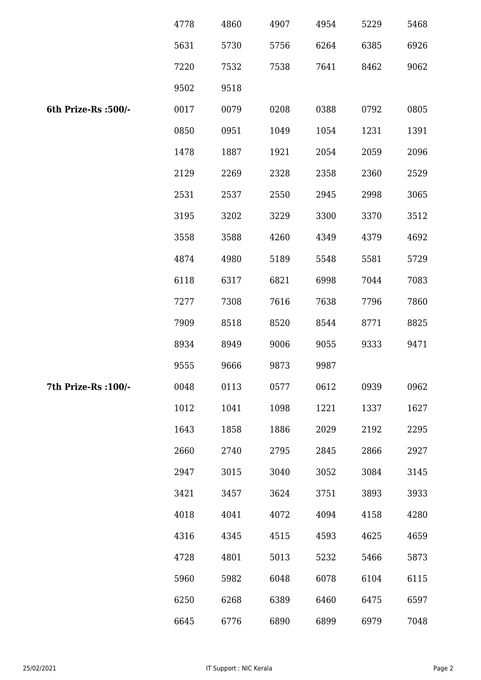|                      | 4778 | 4860 | 4907 | 4954 | 5229 | 5468 |
|----------------------|------|------|------|------|------|------|
|                      | 5631 | 5730 | 5756 | 6264 | 6385 | 6926 |
|                      | 7220 | 7532 | 7538 | 7641 | 8462 | 9062 |
|                      | 9502 | 9518 |      |      |      |      |
| 6th Prize-Rs : 500/- | 0017 | 0079 | 0208 | 0388 | 0792 | 0805 |
|                      | 0850 | 0951 | 1049 | 1054 | 1231 | 1391 |
|                      | 1478 | 1887 | 1921 | 2054 | 2059 | 2096 |
|                      | 2129 | 2269 | 2328 | 2358 | 2360 | 2529 |
|                      | 2531 | 2537 | 2550 | 2945 | 2998 | 3065 |
|                      | 3195 | 3202 | 3229 | 3300 | 3370 | 3512 |
|                      | 3558 | 3588 | 4260 | 4349 | 4379 | 4692 |
|                      | 4874 | 4980 | 5189 | 5548 | 5581 | 5729 |
|                      | 6118 | 6317 | 6821 | 6998 | 7044 | 7083 |
|                      | 7277 | 7308 | 7616 | 7638 | 7796 | 7860 |
|                      | 7909 | 8518 | 8520 | 8544 | 8771 | 8825 |
|                      | 8934 | 8949 | 9006 | 9055 | 9333 | 9471 |
|                      | 9555 | 9666 | 9873 | 9987 |      |      |
| 7th Prize-Rs : 100/- | 0048 | 0113 | 0577 | 0612 | 0939 | 0962 |
|                      | 1012 | 1041 | 1098 | 1221 | 1337 | 1627 |
|                      | 1643 | 1858 | 1886 | 2029 | 2192 | 2295 |
|                      | 2660 | 2740 | 2795 | 2845 | 2866 | 2927 |
|                      | 2947 | 3015 | 3040 | 3052 | 3084 | 3145 |
|                      | 3421 | 3457 | 3624 | 3751 | 3893 | 3933 |
|                      | 4018 | 4041 | 4072 | 4094 | 4158 | 4280 |
|                      | 4316 | 4345 | 4515 | 4593 | 4625 | 4659 |
|                      | 4728 | 4801 | 5013 | 5232 | 5466 | 5873 |
|                      | 5960 | 5982 | 6048 | 6078 | 6104 | 6115 |
|                      | 6250 | 6268 | 6389 | 6460 | 6475 | 6597 |
|                      | 6645 | 6776 | 6890 | 6899 | 6979 | 7048 |